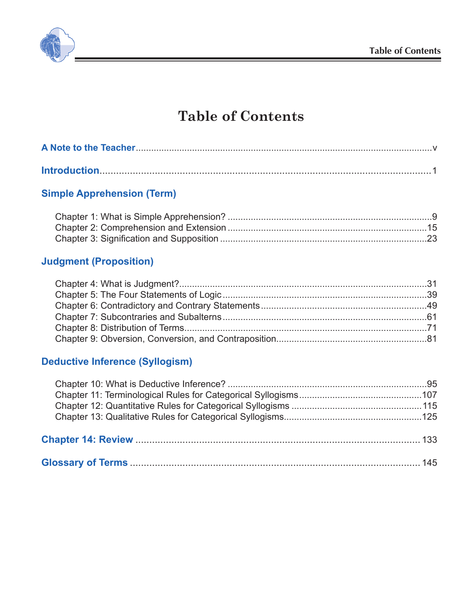

## **Table of Contents**

## **Simple Apprehension (Term)**

## **Judgment (Proposition)**

## **Deductive Inference (Syllogism)**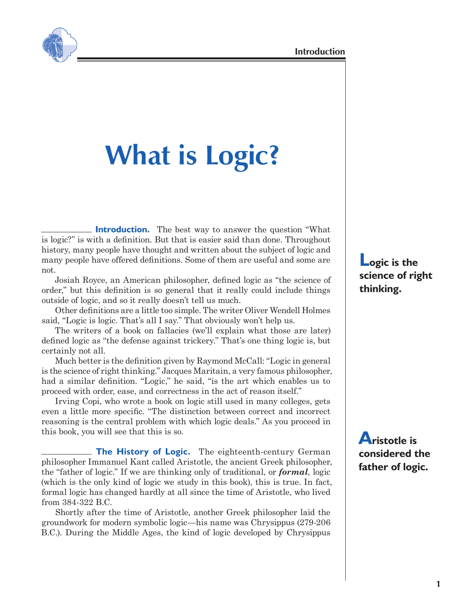

# **What is Logic?**

**Introduction.** The best way to answer the question "What is logic?" is with a definition. But that is easier said than done. Throughout history, many people have thought and written about the subject of logic and many people have offered definitions. Some of them are useful and some are not.

Josiah Royce, an American philosopher, defined logic as "the science of order," but this definition is so general that it really could include things outside of logic, and so it really doesn't tell us much.

Other definitions are a little too simple. The writer Oliver Wendell Holmes said, "Logic is logic. That's all I say." That obviously won't help us.

The writers of a book on fallacies (we'll explain what those are later) defined logic as "the defense against trickery." That's one thing logic is, but certainly not all.

Much better is the definition given by Raymond McCall: "Logic in general is the science of right thinking." Jacques Maritain, a very famous philosopher, had a similar definition. "Logic," he said, "is the art which enables us to proceed with order, ease, and correctness in the act of reason itself."

Irving Copi, who wrote a book on logic still used in many colleges, gets even a little more specific. "The distinction between correct and incorrect reasoning is the central problem with which logic deals." As you proceed in this book, you will see that this is so.

 **The History of Logic.** The eighteenth-century German philosopher Immanuel Kant called Aristotle, the ancient Greek philosopher, the "father of logic." If we are thinking only of traditional, or *formal*, logic (which is the only kind of logic we study in this book), this is true. In fact, formal logic has changed hardly at all since the time of Aristotle, who lived from 384-322 B.C.

Shortly after the time of Aristotle, another Greek philosopher laid the groundwork for modern symbolic logic—his name was Chrysippus (279-206 B.C.). During the Middle Ages, the kind of logic developed by Chrysippus **Logic is the science of right thinking.** 

**Aristotle is considered the father of logic.**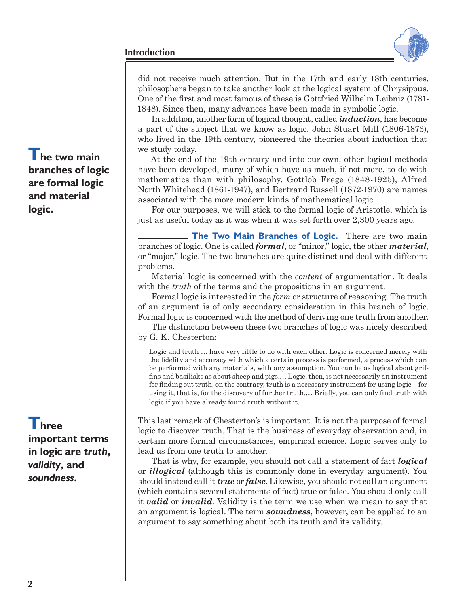

did not receive much attention. But in the 17th and early 18th centuries, philosophers began to take another look at the logical system of Chrysippus. One of the first and most famous of these is Gottfried Wilhelm Leibniz (1781- 1848). Since then, many advances have been made in symbolic logic.

In addition, another form of logical thought, called *induction*, has become a part of the subject that we know as logic. John Stuart Mill (1806-1873), who lived in the 19th century, pioneered the theories about induction that we study today.

At the end of the 19th century and into our own, other logical methods have been developed, many of which have as much, if not more, to do with mathematics than with philosophy. Gottlob Frege (1848-1925), Alfred North Whitehead (1861-1947), and Bertrand Russell (1872-1970) are names associated with the more modern kinds of mathematical logic.

For our purposes, we will stick to the formal logic of Aristotle, which is just as useful today as it was when it was set forth over 2,300 years ago.

**The Two Main Branches of Logic.** There are two main branches of logic. One is called *formal*, or "minor," logic, the other *material*, or "major," logic. The two branches are quite distinct and deal with different problems.

Material logic is concerned with the *content* of argumentation. It deals with the *truth* of the terms and the propositions in an argument.

Formal logic is interested in the *form* or structure of reasoning. The truth of an argument is of only secondary consideration in this branch of logic. Formal logic is concerned with the method of deriving one truth from another.

The distinction between these two branches of logic was nicely described by G. K. Chesterton:

Logic and truth  $\ldots$  have very little to do with each other. Logic is concerned merely with the fidelity and accuracy with which a certain process is performed, a process which can be performed with any materials, with any assumption. You can be as logical about griffins and basilisks as about sheep and pigs.… Logic, then, is not necessarily an instrument for finding out truth; on the contrary, truth is a necessary instrument for using logic—for using it, that is, for the discovery of further truth.… Briefly, you can only find truth with logic if you have already found truth without it.

This last remark of Chesterton's is important. It is not the purpose of formal logic to discover truth. That is the business of everyday observation and, in certain more formal circumstances, empirical science. Logic serves only to lead us from one truth to another.

That is why, for example, you should not call a statement of fact *logical*  or *illogical* (although this is commonly done in everyday argument). You should instead call it *true* or *false*. Likewise, you should not call an argument (which contains several statements of fact) true or false. You should only call it *valid* or *invalid*. Validity is the term we use when we mean to say that an argument is logical. The term *soundness*, however, can be applied to an argument to say something about both its truth and its validity.

**The two main branches of logic are formal logic and material logic.**

**Three important terms in logic are** *truth***,**  *validity***, and**  *soundness***.**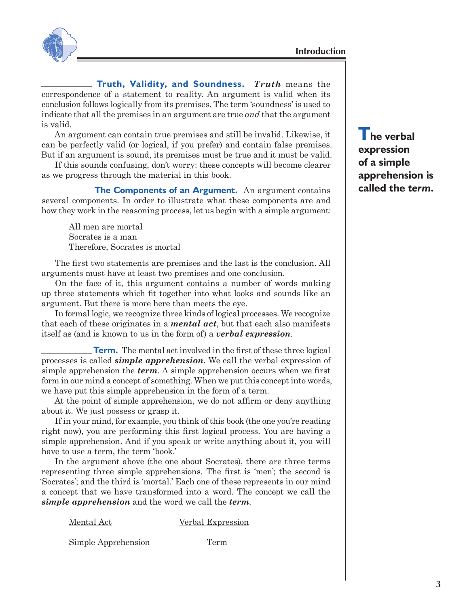

 **Truth, Validity, and Soundness.** *Truth* means the correspondence of a statement to reality. An argument is valid when its conclusion follows logically from its premises. The term 'soundness' is used to indicate that all the premises in an argument are true *and* that the argument is valid.

An argument can contain true premises and still be invalid. Likewise, it can be perfectly valid (or logical, if you prefer) and contain false premises. But if an argument is sound, its premises must be true and it must be valid.

If this sounds confusing, don't worry: these concepts will become clearer as we progress through the material in this book.

 **The Components of an Argument.** An argument contains several components. In order to illustrate what these components are and how they work in the reasoning process, let us begin with a simple argument:

All men are mortal Socrates is a man Therefore, Socrates is mortal

The first two statements are premises and the last is the conclusion. All arguments must have at least two premises and one conclusion.

On the face of it, this argument contains a number of words making up three statements which fit together into what looks and sounds like an argument. But there is more here than meets the eye.

In formal logic, we recognize three kinds of logical processes. We recognize that each of these originates in a *mental act*, but that each also manifests itself as (and is known to us in the form of) a *verbal expression*.

 **Term.** The mental act involved in the first of these three logical processes is called *simple apprehension*. We call the verbal expression of simple apprehension the *term*. A simple apprehension occurs when we first form in our mind a concept of something. When we put this concept into words, we have put this simple apprehension in the form of a term.

At the point of simple apprehension, we do not affirm or deny anything about it. We just possess or grasp it.

If in your mind, for example, you think of this book (the one you're reading right now), you are performing this first logical process. You are having a simple apprehension. And if you speak or write anything about it, you will have to use a term, the term 'book.'

In the argument above (the one about Socrates), there are three terms representing three simple apprehensions. The first is 'men'; the second is 'Socrates'; and the third is 'mortal.' Each one of these represents in our mind a concept that we have transformed into a word. The concept we call the *simple apprehension* and the word we call the *term*.

Mental Act Verbal Expression

Simple Apprehension Term

**The verbal expression of a simple apprehension is called the** *term***.**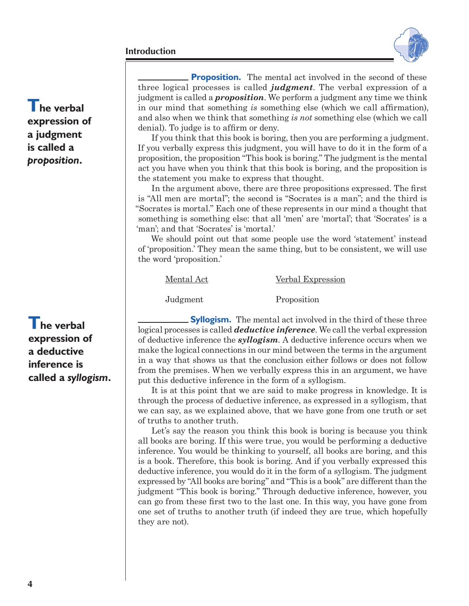#### **Introduction**



**The verbal expression of a judgment is called a**  *proposition***.**

**The verbal expression of a deductive inference is called a** *syllogism***.**

**Proposition.** The mental act involved in the second of these three logical processes is called *judgment*. The verbal expression of a judgment is called a *proposition*. We perform a judgment any time we think in our mind that something *is* something else (which we call affirmation), and also when we think that something *is not* something else (which we call denial). To judge is to affirm or deny.

If you think that this book is boring, then you are performing a judgment. If you verbally express this judgment, you will have to do it in the form of a proposition, the proposition "This book is boring." The judgment is the mental act you have when you think that this book is boring, and the proposition is the statement you make to express that thought.

In the argument above, there are three propositions expressed. The first is "All men are mortal"; the second is "Socrates is a man"; and the third is "Socrates is mortal." Each one of these represents in our mind a thought that something is something else: that all 'men' are 'mortal'; that 'Socrates' is a 'man'; and that 'Socrates' is 'mortal.'

We should point out that some people use the word 'statement' instead of 'proposition.' They mean the same thing, but to be consistent, we will use the word 'proposition.'

Mental Act Verbal Expression

Judgment Proposition

**Syllogism.** The mental act involved in the third of these three logical processes is called *deductive inference*. We call the verbal expression of deductive inference the *syllogism*. A deductive inference occurs when we make the logical connections in our mind between the terms in the argument in a way that shows us that the conclusion either follows or does not follow from the premises. When we verbally express this in an argument, we have put this deductive inference in the form of a syllogism.

It is at this point that we are said to make progress in knowledge. It is through the process of deductive inference, as expressed in a syllogism, that we can say, as we explained above, that we have gone from one truth or set of truths to another truth.

Let's say the reason you think this book is boring is because you think all books are boring. If this were true, you would be performing a deductive inference. You would be thinking to yourself, all books are boring, and this is a book. Therefore, this book is boring. And if you verbally expressed this deductive inference, you would do it in the form of a syllogism. The judgment expressed by "All books are boring" and "This is a book" are different than the judgment "This book is boring." Through deductive inference, however, you can go from these first two to the last one. In this way, you have gone from one set of truths to another truth (if indeed they are true, which hopefully they are not).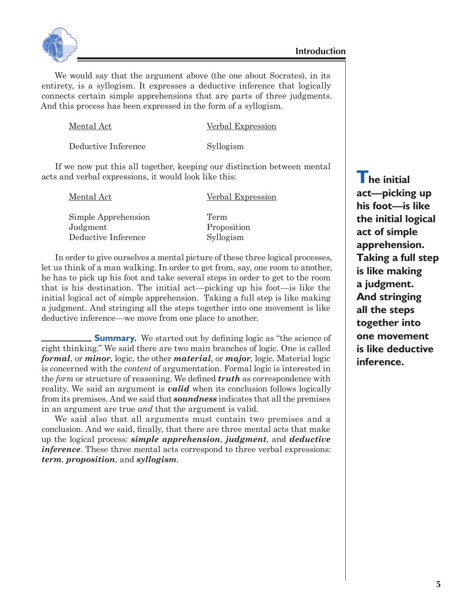

We would say that the argument above (the one about Socrates), in its entirety, is a syllogism. It expresses a deductive inference that logically connects certain simple apprehensions that are parts of three judgments. And this process has been expressed in the form of a syllogism.

Mental Act Verbal Expression

Deductive Inference Syllogism

If we now put this all together, keeping our distinction between mental acts and verbal expressions, it would look like this:

| Mental Act          | Verbal Expression |
|---------------------|-------------------|
| Simple Apprehension | Term              |
| Judgment            | Proposition       |
| Deductive Inference | Syllogism         |

In order to give ourselves a mental picture of these three logical processes, let us think of a man walking. In order to get from, say, one room to another, he has to pick up his foot and take several steps in order to get to the room that is his destination. The initial act—picking up his foot—is like the initial logical act of simple apprehension. Taking a full step is like making a judgment. And stringing all the steps together into one movement is like deductive inference—we move from one place to another.

**Summary.** We started out by defining logic as "the science of right thinking." We said there are two main branches of logic. One is called *formal*, or *minor*, logic, the other *material*, or *major*, logic. Material logic is concerned with the *content* of argumentation. Formal logic is interested in the *form* or structure of reasoning. We defined *truth* as correspondence with reality. We said an argument is *valid* when its conclusion follows logically from its premises. And we said that *soundness* indicates that all the premises in an argument are true *and* that the argument is valid.

We said also that all arguments must contain two premises and a conclusion. And we said, finally, that there are three mental acts that make up the logical process: *simple apprehension*, *judgment*, and *deductive inference*. These three mental acts correspond to three verbal expressions: *term*, *proposition*, and *syllogism*.

**The initial act—picking up his foot—is like the initial logical act of simple apprehension. Taking a full step is like making a judgment. And stringing all the steps together into one movement is like deductive inference.**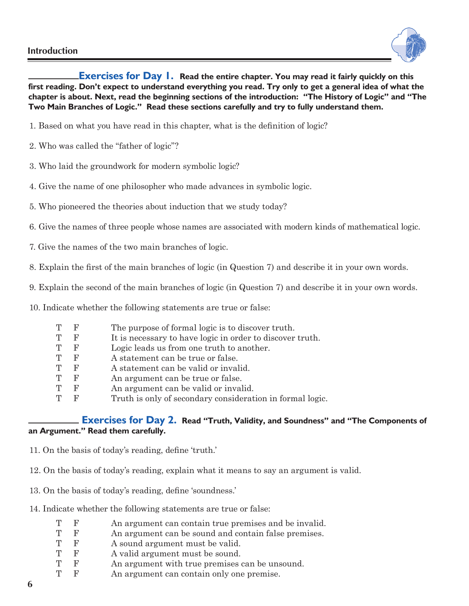

**Exercises for Day 1.** Read the entire chapter. You may read it fairly quickly on this **first reading. Don't expect to understand everything you read. Try only to get a general idea of what the chapter is about. Next, read the beginning sections of the introduction: "The History of Logic" and "The Two Main Branches of Logic." Read these sections carefully and try to fully understand them.**

- 1. Based on what you have read in this chapter, what is the definition of logic?
- 2. Who was called the "father of logic"?
- 3. Who laid the groundwork for modern symbolic logic?
- 4. Give the name of one philosopher who made advances in symbolic logic.
- 5. Who pioneered the theories about induction that we study today?
- 6. Give the names of three people whose names are associated with modern kinds of mathematical logic.
- 7. Give the names of the two main branches of logic.
- 8. Explain the first of the main branches of logic (in Question 7) and describe it in your own words.
- 9. Explain the second of the main branches of logic (in Question 7) and describe it in your own words.
- 10. Indicate whether the following statements are true or false:

| T            | H, | The purpose of formal logic is to discover truth.         |
|--------------|----|-----------------------------------------------------------|
| T            |    | It is necessary to have logic in order to discover truth. |
| T            | F  | Logic leads us from one truth to another.                 |
| T            | F  | A statement can be true or false.                         |
| T            |    | A statement can be valid or invalid.                      |
| $\mathbf{T}$ | F  | An argument can be true or false.                         |
| T            | F  | An argument can be valid or invalid.                      |
| T            |    | Truth is only of secondary consideration in formal logic. |

#### **Exercises for Day 2. Read "Truth, Validity, and Soundness" and "The Components of an Argument." Read them carefully.**

- 11. On the basis of today's reading, define 'truth.'
- 12. On the basis of today's reading, explain what it means to say an argument is valid.
- 13. On the basis of today's reading, define 'soundness.'
- 14. Indicate whether the following statements are true or false:
	- T F An argument can contain true premises and be invalid.
	- T F An argument can be sound and contain false premises.
	- T F A sound argument must be valid.
	- T F A valid argument must be sound.
	- T F An argument with true premises can be unsound.
	- T F An argument can contain only one premise.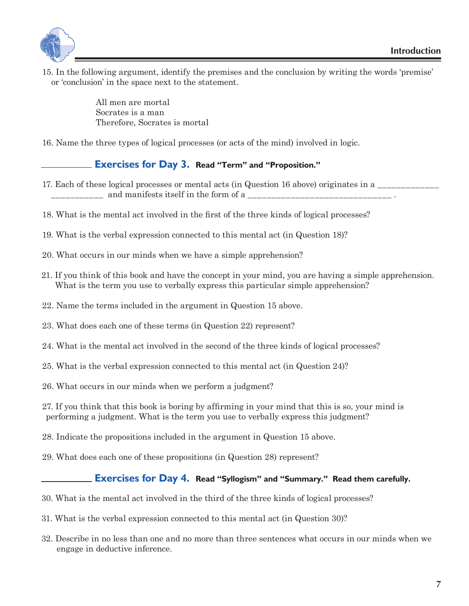

15. In the following argument, identify the premises and the conclusion by writing the words 'premise' or 'conclusion' in the space next to the statement.

> All men are mortal Socrates is a man Therefore, Socrates is mortal

16. Name the three types of logical processes (or acts of the mind) involved in logic.

#### **Exercises for Day 3. Read "Term" and "Proposition."**

- 17. Each of these logical processes or mental acts (in Question 16 above) originates in a *\_\_\_\_\_\_\_\_\_\_\_\_\_ \_\_\_\_\_\_\_\_\_\_\_* and manifests itself in the form of a \_\_\_\_\_\_\_\_\_\_\_\_\_\_\_\_\_\_\_\_\_\_\_\_\_\_\_\_\_\_ .
- 18. What is the mental act involved in the first of the three kinds of logical processes?
- 19. What is the verbal expression connected to this mental act (in Question 18)?
- 20. What occurs in our minds when we have a simple apprehension?
- 21. If you think of this book and have the concept in your mind, you are having a simple apprehension. What is the term you use to verbally express this particular simple apprehension?
- 22. Name the terms included in the argument in Question 15 above.
- 23. What does each one of these terms (in Question 22) represent?
- 24. What is the mental act involved in the second of the three kinds of logical processes?
- 25. What is the verbal expression connected to this mental act (in Question 24)?
- 26. What occurs in our minds when we perform a judgment?
- 27. If you think that this book is boring by affirming in your mind that this is so, your mind is performing a judgment. What is the term you use to verbally express this judgment?
- 28. Indicate the propositions included in the argument in Question 15 above.
- 29. What does each one of these propositions (in Question 28) represent?

#### **Exercises for Day 4. Read "Syllogism" and "Summary." Read them carefully.**

- 30. What is the mental act involved in the third of the three kinds of logical processes?
- 31. What is the verbal expression connected to this mental act (in Question 30)?
- 32. Describe in no less than one and no more than three sentences what occurs in our minds when we engage in deductive inference.